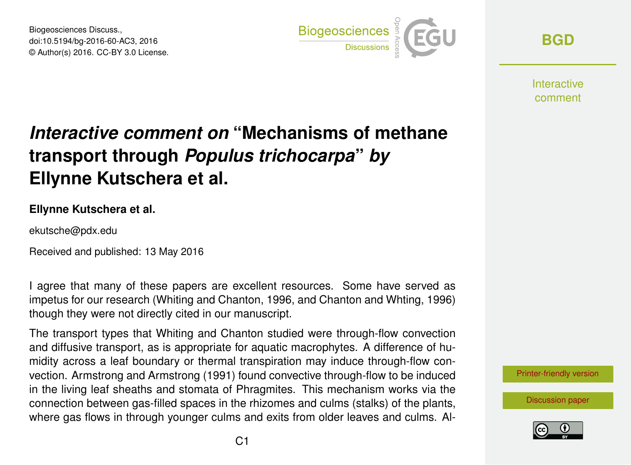Biogeosciences Discuss., doi:10.5194/bg-2016-60-AC3, 2016 © Author(s) 2016. CC-BY 3.0 License.



**[BGD](http://www.biogeosciences-discuss.net/)**

**Interactive** comment

## *Interactive comment on* **"Mechanisms of methane transport through** *Populus trichocarpa***"** *by* **Ellynne Kutschera et al.**

## **Ellynne Kutschera et al.**

ekutsche@pdx.edu

Received and published: 13 May 2016

I agree that many of these papers are excellent resources. Some have served as impetus for our research (Whiting and Chanton, 1996, and Chanton and Whting, 1996) though they were not directly cited in our manuscript.

The transport types that Whiting and Chanton studied were through-flow convection and diffusive transport, as is appropriate for aquatic macrophytes. A difference of humidity across a leaf boundary or thermal transpiration may induce through-flow convection. Armstrong and Armstrong (1991) found convective through-flow to be induced in the living leaf sheaths and stomata of Phragmites. This mechanism works via the connection between gas-filled spaces in the rhizomes and culms (stalks) of the plants, where gas flows in through younger culms and exits from older leaves and culms. Al-



[Discussion paper](http://www.biogeosciences-discuss.net/bg-2016-60)